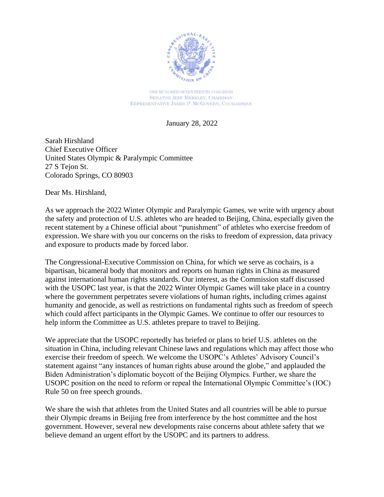

ONE HUNDRED SEVENTEENTH CONGRESS **SENATOR JEFF MERKLEY, CHAIRMAN** REPRESENTATIVE JAMES P. MCGOVERN, COCHAIRMAN

January 28, 2022

Sarah Hirshland Chief Executive Officer United States Olympic & Paralympic Committee 27 S Tejon St. Colorado Springs, CO 80903

Dear Ms. Hirshland,

As we approach the 2022 Winter Olympic and Paralympic Games, we write with urgency about the safety and protection of U.S. athletes who are headed to Beijing, China, especially given the recent statement by a Chinese official about "punishment" of athletes who exercise freedom of expression. We share with you our concerns on the risks to freedom of expression, data privacy and exposure to products made by forced labor.

The Congressional-Executive Commission on China, for which we serve as cochairs, is a bipartisan, bicameral body that monitors and reports on human rights in China as measured against international human rights standards. Our interest, as the Commission staff discussed with the USOPC last year, is that the 2022 Winter Olympic Games will take place in a country where the government perpetrates severe violations of human rights, including crimes against humanity and genocide, as well as restrictions on fundamental rights such as freedom of speech which could affect participants in the Olympic Games. We continue to offer our resources to help inform the Committee as U.S. athletes prepare to travel to Beijing.

We appreciate that the USOPC reportedly has briefed or plans to brief U.S. athletes on the situation in China, including relevant Chinese laws and regulations which may affect those who exercise their freedom of speech. We welcome the USOPC's Athletes' Advisory Council's statement against "any instances of human rights abuse around the globe," and applauded the Biden Administration's diplomatic boycott of the Beijing Olympics. Further, we share the USOPC position on the need to reform or repeal the International Olympic Committee's (IOC) Rule 50 on free speech grounds.

We share the wish that athletes from the United States and all countries will be able to pursue their Olympic dreams in Beijing free from interference by the host committee and the host government. However, several new developments raise concerns about athlete safety that we believe demand an urgent effort by the USOPC and its partners to address.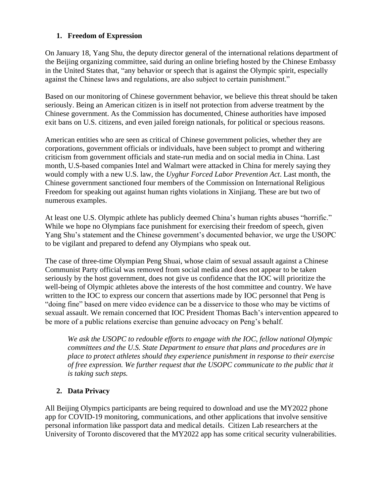## **1. Freedom of Expression**

On January 18, Yang Shu, the deputy director general of the international relations department of the Beijing organizing committee, said during an online briefing hosted by the Chinese Embassy in the United States that, "any behavior or speech that is against the Olympic spirit, especially against the Chinese laws and regulations, are also subject to certain punishment."

Based on our monitoring of Chinese government behavior, we believe this threat should be taken seriously. Being an American citizen is in itself not protection from adverse treatment by the Chinese government. As the Commission has documented, Chinese authorities have imposed exit bans on U.S. citizens, and even jailed foreign nationals, for political or specious reasons.

American entities who are seen as critical of Chinese government policies, whether they are corporations, government officials or individuals, have been subject to prompt and withering criticism from government officials and state-run media and on social media in China. Last month, U.S-based companies Intel and Walmart were attacked in China for merely saying they would comply with a new U.S. law, the *Uyghur Forced Labor Prevention Act*. Last month, the Chinese government sanctioned four members of the Commission on International Religious Freedom for speaking out against human rights violations in Xinjiang. These are but two of numerous examples.

At least one U.S. Olympic athlete has publicly deemed China's human rights abuses "horrific." While we hope no Olympians face punishment for exercising their freedom of speech, given Yang Shu's statement and the Chinese government's documented behavior, we urge the USOPC to be vigilant and prepared to defend any Olympians who speak out.

The case of three-time Olympian Peng Shuai, whose claim of sexual assault against a Chinese Communist Party official was removed from social media and does not appear to be taken seriously by the host government, does not give us confidence that the IOC will prioritize the well-being of Olympic athletes above the interests of the host committee and country. We have written to the IOC to express our concern that assertions made by IOC personnel that Peng is "doing fine" based on mere video evidence can be a disservice to those who may be victims of sexual assault. We remain concerned that IOC President Thomas Bach's intervention appeared to be more of a public relations exercise than genuine advocacy on Peng's behalf.

*We ask the USOPC to redouble efforts to engage with the IOC, fellow national Olympic committees and the U.S. State Department to ensure that plans and procedures are in place to protect athletes should they experience punishment in response to their exercise of free expression. We further request that the USOPC communicate to the public that it is taking such steps.* 

## **2. Data Privacy**

All Beijing Olympics participants are being required to download and use the MY2022 phone app for COVID-19 monitoring, communications, and other applications that involve sensitive personal information like passport data and medical details. Citizen Lab researchers at the University of Toronto discovered that the MY2022 app has some critical security vulnerabilities.